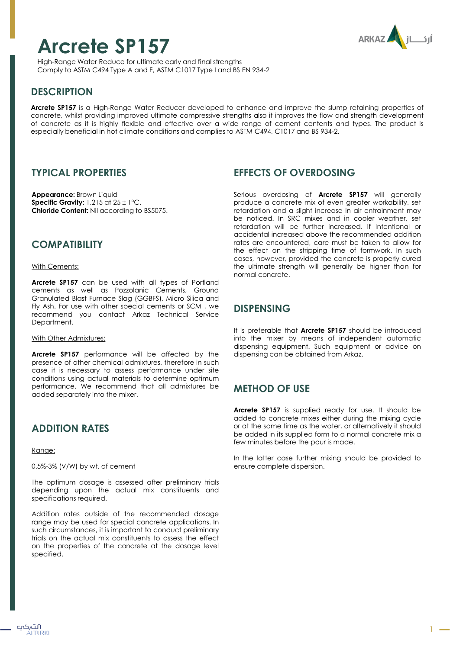# **Arcrete SP157**



High-Range Water Reduce for ultimate early and final strengths Comply to ASTM C494 Type A and F, ASTM C1017 Type I and BS EN 934-2

# **DESCRIPTION**

**Arcrete SP157** is a High-Range Water Reducer developed to enhance and improve the slump retaining properties of concrete, whilst providing improved ultimate compressive strengths also it improves the flow and strength development of concrete as it is highly flexible and effective over a wide range of cement contents and types. The product is especially beneficial in hot climate conditions and complies to ASTM C494, C1017 and BS 934-2.

## **TYPICAL PROPERTIES**

**Appearance:** Brown Liquid **Specific Gravity:** 1.215 at 25 ± 1ºC. **Chloride Content:** Nil according to BS5075.

## **COMPATIBILITY**

#### With Cements:

**Arcrete SP157** can be used with all types of Portland cements as well as Pozzolanic Cements, Ground Granulated Blast Furnace Slag (GGBFS), Micro Silica and Fly Ash. For use with other special cements or SCM , we recommend you contact Arkaz Technical Service Department.

#### With Other Admixtures:

**Arcrete SP157** performance will be affected by the presence of other chemical admixtures, therefore in such case it is necessary to assess performance under site conditions using actual materials to determine optimum performance. We recommend that all admixtures be added separately into the mixer.

## **ADDITION RATES**

Range:

0.5%-3% (V/W) by wt. of cement

The optimum dosage is assessed after preliminary trials depending upon the actual mix constituents and specifications required.

Addition rates outside of the recommended dosage range may be used for special concrete applications. In such circumstances, it is important to conduct preliminary trials on the actual mix constituents to assess the effect on the properties of the concrete at the dosage level specified.

## **EFFECTS OF OVERDOSING**

Serious overdosing of **Arcrete SP157** will generally produce a concrete mix of even greater workability, set retardation and a slight increase in air entrainment may be noticed. In SRC mixes and in cooler weather, set retardation will be further increased. If Intentional or accidental increased above the recommended addition rates are encountered, care must be taken to allow for the effect on the stripping time of formwork. In such cases, however, provided the concrete is properly cured the ultimate strength will generally be higher than for normal concrete.

## **DISPENSING**

It is preferable that **Arcrete SP157** should be introduced into the mixer by means of independent automatic dispensing equipment. Such equipment or advice on dispensing can be obtained from Arkaz.

## **METHOD OF USE**

**Arcrete SP157** is supplied ready for use. It should be added to concrete mixes either during the mixing cycle or at the same time as the water, or alternatively it should be added in its supplied form to a normal concrete mix a few minutes before the pour is made.

In the latter case further mixing should be provided to ensure complete dispersion.